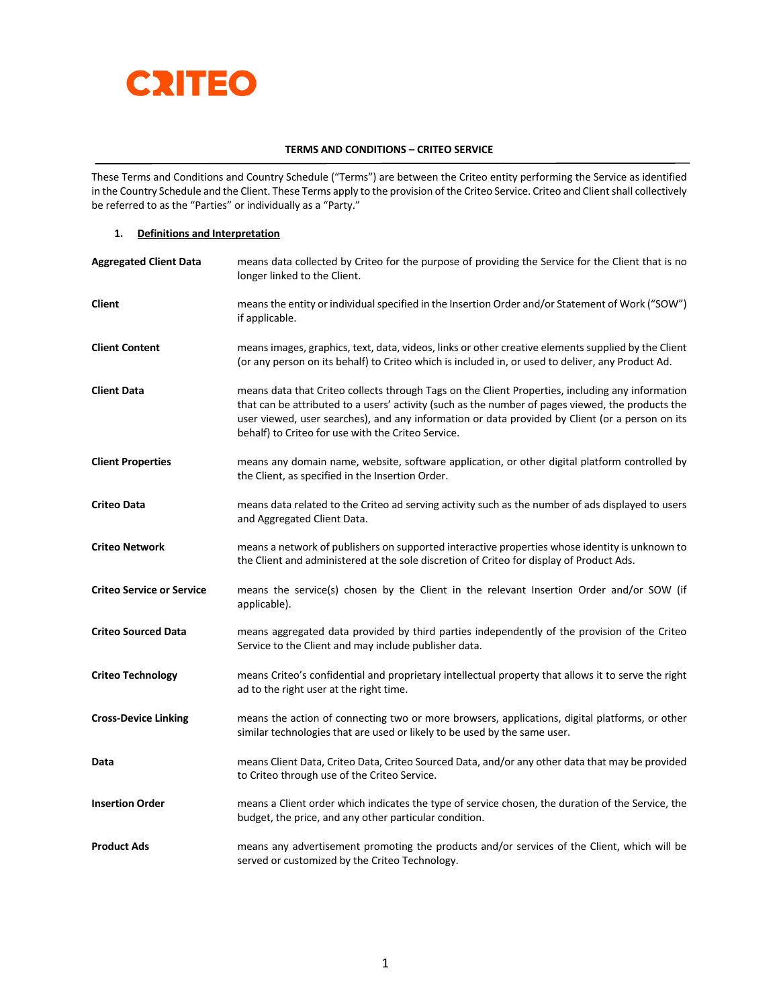

# **TERMS AND CONDITIONS – CRITEO SERVICE**

These Terms and Conditions and Country Schedule ("Terms") are between the Criteo entity performing the Service as identified in the Country Schedule and the Client. These Terms apply to the provision of the Criteo Service. Criteo and Client shall collectively be referred to as the "Parties" or individually as a "Party."

## **1. Definitions and Interpretation**

| <b>Aggregated Client Data</b>    | means data collected by Criteo for the purpose of providing the Service for the Client that is no<br>longer linked to the Client.                                                                                                                                                                                                                              |
|----------------------------------|----------------------------------------------------------------------------------------------------------------------------------------------------------------------------------------------------------------------------------------------------------------------------------------------------------------------------------------------------------------|
| Client                           | means the entity or individual specified in the Insertion Order and/or Statement of Work ("SOW")<br>if applicable.                                                                                                                                                                                                                                             |
| <b>Client Content</b>            | means images, graphics, text, data, videos, links or other creative elements supplied by the Client<br>(or any person on its behalf) to Criteo which is included in, or used to deliver, any Product Ad.                                                                                                                                                       |
| <b>Client Data</b>               | means data that Criteo collects through Tags on the Client Properties, including any information<br>that can be attributed to a users' activity (such as the number of pages viewed, the products the<br>user viewed, user searches), and any information or data provided by Client (or a person on its<br>behalf) to Criteo for use with the Criteo Service. |
| <b>Client Properties</b>         | means any domain name, website, software application, or other digital platform controlled by<br>the Client, as specified in the Insertion Order.                                                                                                                                                                                                              |
| <b>Criteo Data</b>               | means data related to the Criteo ad serving activity such as the number of ads displayed to users<br>and Aggregated Client Data.                                                                                                                                                                                                                               |
| <b>Criteo Network</b>            | means a network of publishers on supported interactive properties whose identity is unknown to<br>the Client and administered at the sole discretion of Criteo for display of Product Ads.                                                                                                                                                                     |
| <b>Criteo Service or Service</b> | means the service(s) chosen by the Client in the relevant Insertion Order and/or SOW (if<br>applicable).                                                                                                                                                                                                                                                       |
| <b>Criteo Sourced Data</b>       | means aggregated data provided by third parties independently of the provision of the Criteo<br>Service to the Client and may include publisher data.                                                                                                                                                                                                          |
| <b>Criteo Technology</b>         | means Criteo's confidential and proprietary intellectual property that allows it to serve the right<br>ad to the right user at the right time.                                                                                                                                                                                                                 |
| <b>Cross-Device Linking</b>      | means the action of connecting two or more browsers, applications, digital platforms, or other<br>similar technologies that are used or likely to be used by the same user.                                                                                                                                                                                    |
| Data                             | means Client Data, Criteo Data, Criteo Sourced Data, and/or any other data that may be provided<br>to Criteo through use of the Criteo Service.                                                                                                                                                                                                                |
| <b>Insertion Order</b>           | means a Client order which indicates the type of service chosen, the duration of the Service, the<br>budget, the price, and any other particular condition.                                                                                                                                                                                                    |
| <b>Product Ads</b>               | means any advertisement promoting the products and/or services of the Client, which will be<br>served or customized by the Criteo Technology.                                                                                                                                                                                                                  |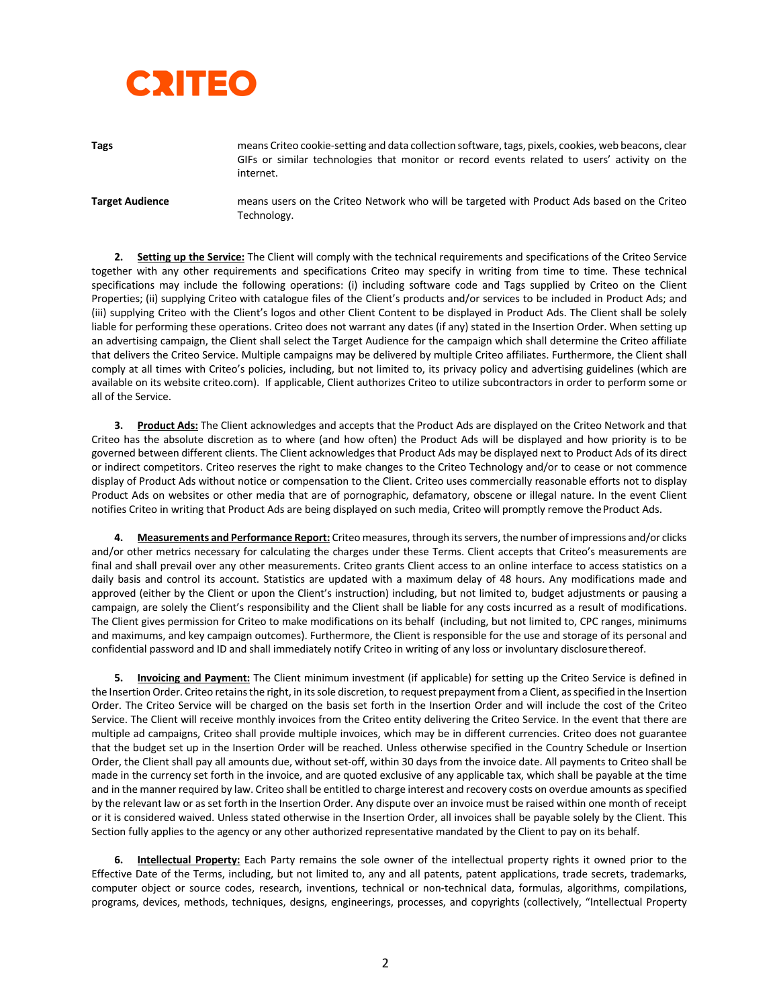# **CRITEO**

**Tags**

means Criteo cookie-setting and data collection software, tags, pixels, cookies, web beacons, clear GIFs or similar technologies that monitor or record events related to users' activity on the internet.

**Target Audience** means users on the Criteo Network who will be targeted with Product Ads based on the Criteo Technology.

**2. Setting up the Service:** The Client will comply with the technical requirements and specifications of the Criteo Service together with any other requirements and specifications Criteo may specify in writing from time to time. These technical specifications may include the following operations: (i) including software code and Tags supplied by Criteo on the Client Properties; (ii) supplying Criteo with catalogue files of the Client's products and/or services to be included in Product Ads; and (iii) supplying Criteo with the Client's logos and other Client Content to be displayed in Product Ads. The Client shall be solely liable for performing these operations. Criteo does not warrant any dates (if any) stated in the Insertion Order. When setting up an advertising campaign, the Client shall select the Target Audience for the campaign which shall determine the Criteo affiliate that delivers the Criteo Service. Multiple campaigns may be delivered by multiple Criteo affiliates. Furthermore, the Client shall comply at all times with Criteo's policies, including, but not limited to, its privacy policy and advertising guidelines (which are available on its website criteo.com). If applicable, Client authorizes Criteo to utilize subcontractors in order to perform some or all of the Service.

**3. Product Ads:** The Client acknowledges and accepts that the Product Ads are displayed on the Criteo Network and that Criteo has the absolute discretion as to where (and how often) the Product Ads will be displayed and how priority is to be governed between different clients. The Client acknowledges that Product Ads may be displayed next to Product Ads of its direct or indirect competitors. Criteo reserves the right to make changes to the Criteo Technology and/or to cease or not commence display of Product Ads without notice or compensation to the Client. Criteo uses commercially reasonable efforts not to display Product Ads on websites or other media that are of pornographic, defamatory, obscene or illegal nature. In the event Client notifies Criteo in writing that Product Ads are being displayed on such media, Criteo will promptly remove theProduct Ads.

**4. Measurements and Performance Report:** Criteo measures, through its servers, the number of impressions and/or clicks and/or other metrics necessary for calculating the charges under these Terms. Client accepts that Criteo's measurements are final and shall prevail over any other measurements. Criteo grants Client access to an online interface to access statistics on a daily basis and control its account. Statistics are updated with a maximum delay of 48 hours. Any modifications made and approved (either by the Client or upon the Client's instruction) including, but not limited to, budget adjustments or pausing a campaign, are solely the Client's responsibility and the Client shall be liable for any costs incurred as a result of modifications. The Client gives permission for Criteo to make modifications on its behalf (including, but not limited to, CPC ranges, minimums and maximums, and key campaign outcomes). Furthermore, the Client is responsible for the use and storage of its personal and confidential password and ID and shall immediately notify Criteo in writing of any loss or involuntary disclosurethereof.

**5. Invoicing and Payment:** The Client minimum investment (if applicable) for setting up the Criteo Service is defined in the Insertion Order. Criteo retains the right, in its sole discretion, to request prepayment from a Client, as specified in the Insertion Order. The Criteo Service will be charged on the basis set forth in the Insertion Order and will include the cost of the Criteo Service. The Client will receive monthly invoices from the Criteo entity delivering the Criteo Service. In the event that there are multiple ad campaigns, Criteo shall provide multiple invoices, which may be in different currencies. Criteo does not guarantee that the budget set up in the Insertion Order will be reached. Unless otherwise specified in the Country Schedule or Insertion Order, the Client shall pay all amounts due, without set-off, within 30 days from the invoice date. All payments to Criteo shall be made in the currency set forth in the invoice, and are quoted exclusive of any applicable tax, which shall be payable at the time and in the manner required by law. Criteo shall be entitled to charge interest and recovery costs on overdue amounts as specified by the relevant law or as set forth in the Insertion Order. Any dispute over an invoice must be raised within one month of receipt or it is considered waived. Unless stated otherwise in the Insertion Order, all invoices shall be payable solely by the Client. This Section fully applies to the agency or any other authorized representative mandated by the Client to pay on its behalf.

**6. Intellectual Property:** Each Party remains the sole owner of the intellectual property rights it owned prior to the Effective Date of the Terms, including, but not limited to, any and all patents, patent applications, trade secrets, trademarks, computer object or source codes, research, inventions, technical or non-technical data, formulas, algorithms, compilations, programs, devices, methods, techniques, designs, engineerings, processes, and copyrights (collectively, "Intellectual Property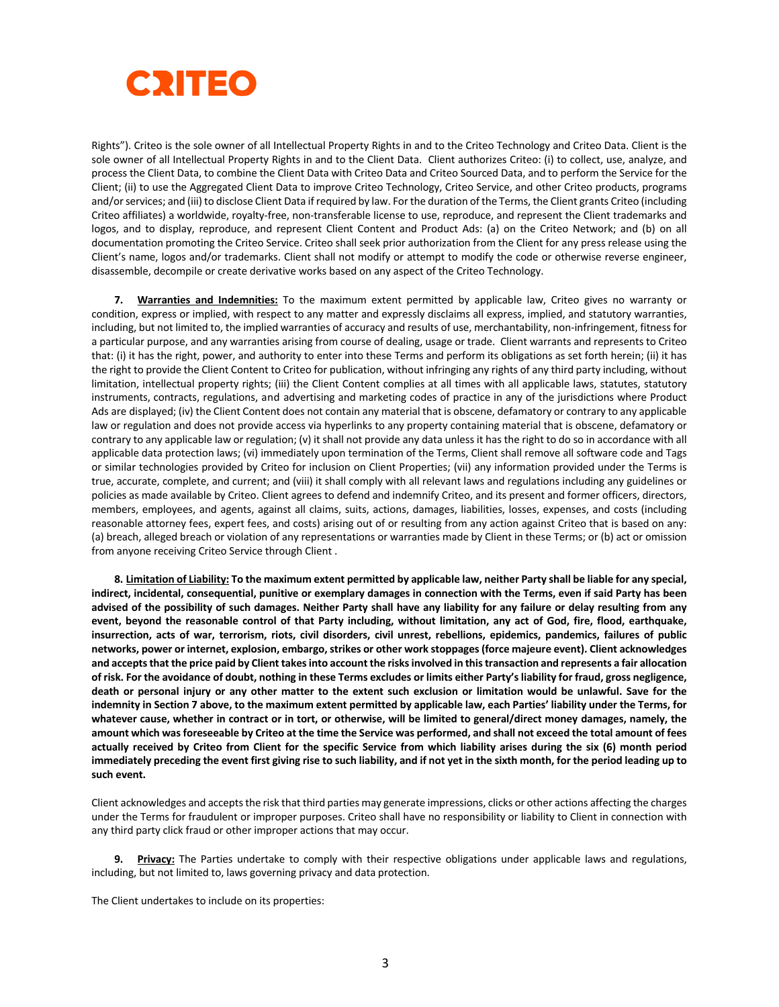

Rights"). Criteo is the sole owner of all Intellectual Property Rights in and to the Criteo Technology and Criteo Data. Client is the sole owner of all Intellectual Property Rights in and to the Client Data. Client authorizes Criteo: (i) to collect, use, analyze, and process the Client Data, to combine the Client Data with Criteo Data and Criteo Sourced Data, and to perform the Service for the Client; (ii) to use the Aggregated Client Data to improve Criteo Technology, Criteo Service, and other Criteo products, programs and/or services; and (iii) to disclose Client Data if required by law. For the duration of the Terms, the Client grants Criteo (including Criteo affiliates) a worldwide, royalty-free, non-transferable license to use, reproduce, and represent the Client trademarks and logos, and to display, reproduce, and represent Client Content and Product Ads: (a) on the Criteo Network; and (b) on all documentation promoting the Criteo Service. Criteo shall seek prior authorization from the Client for any press release using the Client's name, logos and/or trademarks. Client shall not modify or attempt to modify the code or otherwise reverse engineer, disassemble, decompile or create derivative works based on any aspect of the Criteo Technology.

**7. Warranties and Indemnities:** To the maximum extent permitted by applicable law, Criteo gives no warranty or condition, express or implied, with respect to any matter and expressly disclaims all express, implied, and statutory warranties, including, but not limited to, the implied warranties of accuracy and results of use, merchantability, non-infringement, fitness for a particular purpose, and any warranties arising from course of dealing, usage or trade. Client warrants and represents to Criteo that: (i) it has the right, power, and authority to enter into these Terms and perform its obligations as set forth herein; (ii) it has the right to provide the Client Content to Criteo for publication, without infringing any rights of any third party including, without limitation, intellectual property rights; (iii) the Client Content complies at all times with all applicable laws, statutes, statutory instruments, contracts, regulations, and advertising and marketing codes of practice in any of the jurisdictions where Product Ads are displayed; (iv) the Client Content does not contain any material that is obscene, defamatory or contrary to any applicable law or regulation and does not provide access via hyperlinks to any property containing material that is obscene, defamatory or contrary to any applicable law or regulation; (v) it shall not provide any data unless it has the right to do so in accordance with all applicable data protection laws; (vi) immediately upon termination of the Terms, Client shall remove all software code and Tags or similar technologies provided by Criteo for inclusion on Client Properties; (vii) any information provided under the Terms is true, accurate, complete, and current; and (viii) it shall comply with all relevant laws and regulations including any guidelines or policies as made available by Criteo. Client agrees to defend and indemnify Criteo, and its present and former officers, directors, members, employees, and agents, against all claims, suits, actions, damages, liabilities, losses, expenses, and costs (including reasonable attorney fees, expert fees, and costs) arising out of or resulting from any action against Criteo that is based on any: (a) breach, alleged breach or violation of any representations or warranties made by Client in these Terms; or (b) act or omission from anyone receiving Criteo Service through Client .

**8. Limitation of Liability: To the maximum extent permitted by applicable law, neither Party shall be liable for any special, indirect, incidental, consequential, punitive or exemplary damages in connection with the Terms, even if said Party has been advised of the possibility of such damages. Neither Party shall have any liability for any failure or delay resulting from any event, beyond the reasonable control of that Party including, without limitation, any act of God, fire, flood, earthquake, insurrection, acts of war, terrorism, riots, civil disorders, civil unrest, rebellions, epidemics, pandemics, failures of public networks, power or internet, explosion, embargo, strikes or other work stoppages (force majeure event). Client acknowledges and accepts that the price paid by Client takes into account the risks involved in this transaction and represents a fair allocation of risk. For the avoidance of doubt, nothing in these Terms excludes or limits either Party's liability for fraud, gross negligence, death or personal injury or any other matter to the extent such exclusion or limitation would be unlawful. Save for the indemnity in Section 7 above, to the maximum extent permitted by applicable law, each Parties' liability under the Terms, for whatever cause, whether in contract or in tort, or otherwise, will be limited to general/direct money damages, namely, the amount which was foreseeable by Criteo at the time the Service was performed, and shall not exceed the total amount of fees actually received by Criteo from Client for the specific Service from which liability arises during the six (6) month period immediately preceding the event first giving rise to such liability, and if not yet in the sixth month, for the period leading up to such event.** 

Client acknowledges and accepts the risk that third parties may generate impressions, clicks or other actions affecting the charges under the Terms for fraudulent or improper purposes. Criteo shall have no responsibility or liability to Client in connection with any third party click fraud or other improper actions that may occur.

**9. Privacy:** The Parties undertake to comply with their respective obligations under applicable laws and regulations, including, but not limited to, laws governing privacy and data protection.

The Client undertakes to include on its properties: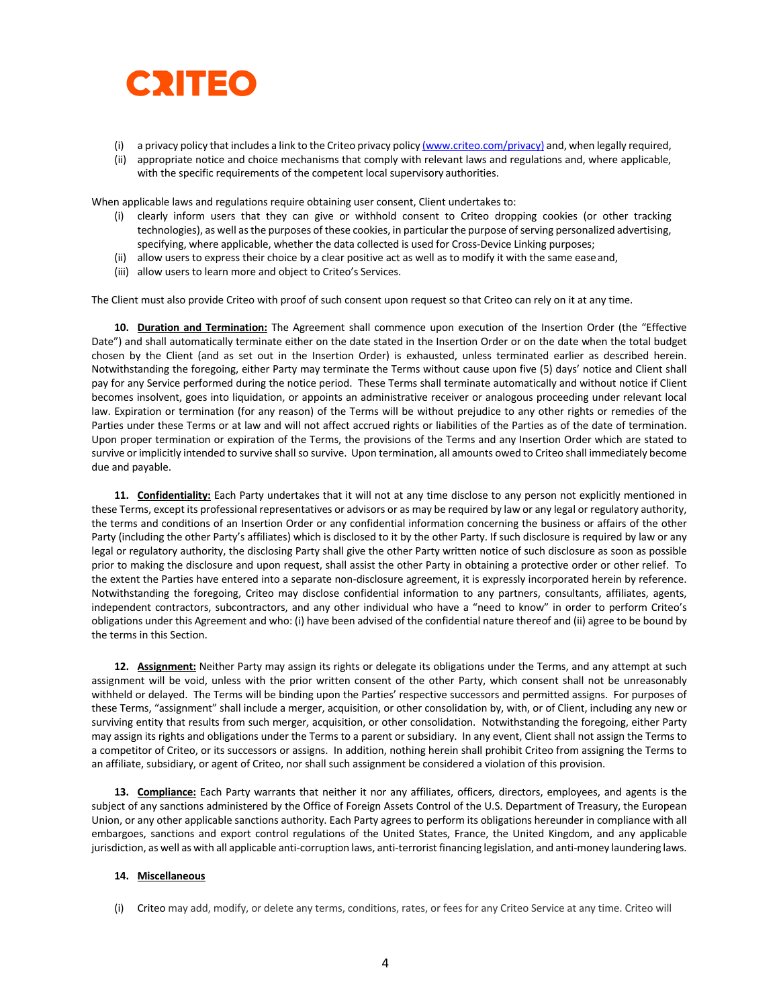

- (i) a privacy policy that includes a link to the Criteo privacy policy (www.criteo.com/privacy) and, when legally required,
- (ii) appropriate notice and choice mechanisms that comply with relevant laws and regulations and, where applicable, with the specific requirements of the competent local supervisory authorities.

When applicable laws and regulations require obtaining user consent, Client undertakes to:

- (i) clearly inform users that they can give or withhold consent to Criteo dropping cookies (or other tracking technologies), as well as the purposes of these cookies, in particular the purpose of serving personalized advertising, specifying, where applicable, whether the data collected is used for Cross-Device Linking purposes;
- (ii) allow users to express their choice by a clear positive act as well as to modify it with the same easeand,
- (iii) allow users to learn more and object to Criteo's Services.

The Client must also provide Criteo with proof of such consent upon request so that Criteo can rely on it at any time.

**10. Duration and Termination:** The Agreement shall commence upon execution of the Insertion Order (the "Effective Date") and shall automatically terminate either on the date stated in the Insertion Order or on the date when the total budget chosen by the Client (and as set out in the Insertion Order) is exhausted, unless terminated earlier as described herein. Notwithstanding the foregoing, either Party may terminate the Terms without cause upon five (5) days' notice and Client shall pay for any Service performed during the notice period. These Terms shall terminate automatically and without notice if Client becomes insolvent, goes into liquidation, or appoints an administrative receiver or analogous proceeding under relevant local law. Expiration or termination (for any reason) of the Terms will be without prejudice to any other rights or remedies of the Parties under these Terms or at law and will not affect accrued rights or liabilities of the Parties as of the date of termination. Upon proper termination or expiration of the Terms, the provisions of the Terms and any Insertion Order which are stated to survive or implicitly intended to survive shall so survive. Upon termination, all amounts owed to Criteo shall immediately become due and payable.

**11. Confidentiality:** Each Party undertakes that it will not at any time disclose to any person not explicitly mentioned in these Terms, except its professional representatives or advisors or as may be required by law or any legal or regulatory authority, the terms and conditions of an Insertion Order or any confidential information concerning the business or affairs of the other Party (including the other Party's affiliates) which is disclosed to it by the other Party. If such disclosure is required by law or any legal or regulatory authority, the disclosing Party shall give the other Party written notice of such disclosure as soon as possible prior to making the disclosure and upon request, shall assist the other Party in obtaining a protective order or other relief. To the extent the Parties have entered into a separate non-disclosure agreement, it is expressly incorporated herein by reference. Notwithstanding the foregoing, Criteo may disclose confidential information to any partners, consultants, affiliates, agents, independent contractors, subcontractors, and any other individual who have a "need to know" in order to perform Criteo's obligations under this Agreement and who: (i) have been advised of the confidential nature thereof and (ii) agree to be bound by the terms in this Section.

**12. Assignment:** Neither Party may assign its rights or delegate its obligations under the Terms, and any attempt at such assignment will be void, unless with the prior written consent of the other Party, which consent shall not be unreasonably withheld or delayed. The Terms will be binding upon the Parties' respective successors and permitted assigns. For purposes of these Terms, "assignment" shall include a merger, acquisition, or other consolidation by, with, or of Client, including any new or surviving entity that results from such merger, acquisition, or other consolidation. Notwithstanding the foregoing, either Party may assign its rights and obligations under the Terms to a parent or subsidiary. In any event, Client shall not assign the Terms to a competitor of Criteo, or its successors or assigns. In addition, nothing herein shall prohibit Criteo from assigning the Terms to an affiliate, subsidiary, or agent of Criteo, nor shall such assignment be considered a violation of this provision.

**13. Compliance:** Each Party warrants that neither it nor any affiliates, officers, directors, employees, and agents is the subject of any sanctions administered by the Office of Foreign Assets Control of the U.S. Department of Treasury, the European Union, or any other applicable sanctions authority. Each Party agrees to perform its obligations hereunder in compliance with all embargoes, sanctions and export control regulations of the United States, France, the United Kingdom, and any applicable jurisdiction, as well as with all applicable anti-corruption laws, anti-terrorist financing legislation, and anti-money laundering laws.

#### **14. Miscellaneous**

(i) Criteo may add, modify, or delete any terms, conditions, rates, or fees for any Criteo Service at any time. Criteo will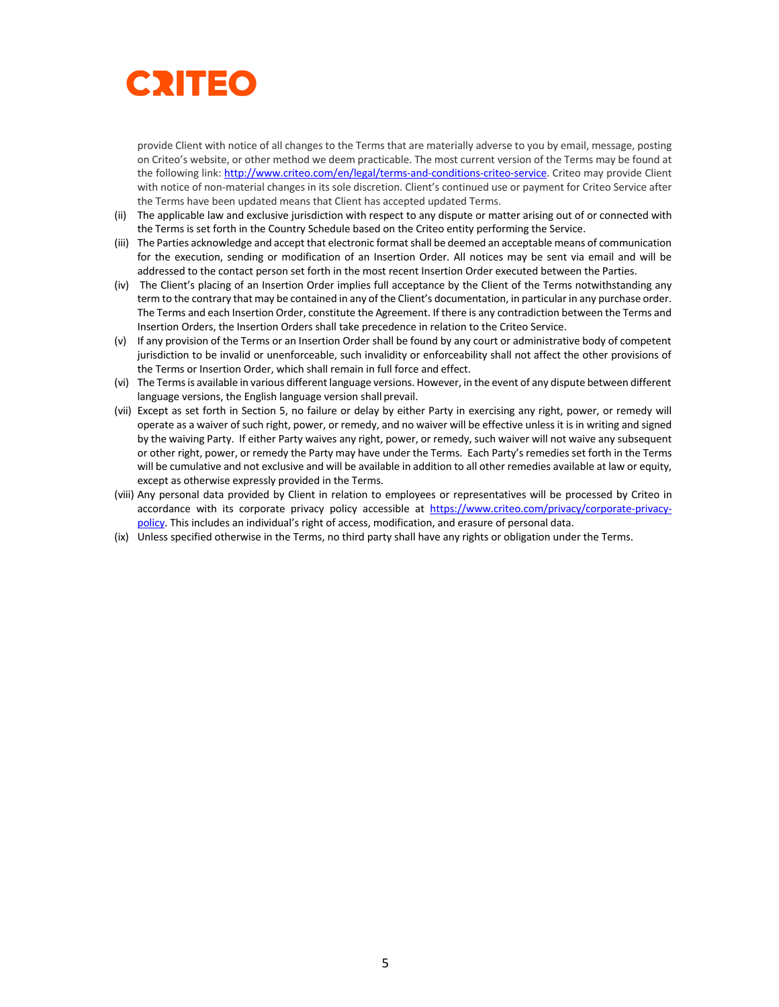

provide Client with notice of all changes to the Terms that are materially adverse to you by email, message, posting on Criteo's website, or other method we deem practicable. The most current version of the Terms may be found at the following link: http://www.criteo.com/en/legal/terms-and-conditions-criteo-service. Criteo may provide Client with notice of non-material changes in its sole discretion. Client's continued use or payment for Criteo Service after the Terms have been updated means that Client has accepted updated Terms.

- (ii) The applicable law and exclusive jurisdiction with respect to any dispute or matter arising out of or connected with the Terms is set forth in the Country Schedule based on the Criteo entity performing the Service.
- (iii) The Parties acknowledge and accept that electronic format shall be deemed an acceptable means of communication for the execution, sending or modification of an Insertion Order. All notices may be sent via email and will be addressed to the contact person set forth in the most recent Insertion Order executed between the Parties.
- (iv) The Client's placing of an Insertion Order implies full acceptance by the Client of the Terms notwithstanding any term to the contrary that may be contained in any of the Client's documentation, in particular in any purchase order. The Terms and each Insertion Order, constitute the Agreement. If there is any contradiction between the Terms and Insertion Orders, the Insertion Orders shall take precedence in relation to the Criteo Service.
- (v) If any provision of the Terms or an Insertion Order shall be found by any court or administrative body of competent jurisdiction to be invalid or unenforceable, such invalidity or enforceability shall not affect the other provisions of the Terms or Insertion Order, which shall remain in full force and effect.
- (vi) The Termsis available in various different language versions. However, in the event of any dispute between different language versions, the English language version shall prevail.
- (vii) Except as set forth in Section 5, no failure or delay by either Party in exercising any right, power, or remedy will operate as a waiver of such right, power, or remedy, and no waiver will be effective unless it is in writing and signed by the waiving Party. If either Party waives any right, power, or remedy, such waiver will not waive any subsequent or other right, power, or remedy the Party may have under the Terms. Each Party's remedies set forth in the Terms will be cumulative and not exclusive and will be available in addition to all other remedies available at law or equity, except as otherwise expressly provided in the Terms.
- (viii) Any personal data provided by Client in relation to employees or representatives will be processed by Criteo in accordance with its corporate privacy policy accessible at https://www.criteo.com/privacy/corporate-privacypolicy. This includes an individual's right of access, modification, and erasure of personal data.
- (ix) Unless specified otherwise in the Terms, no third party shall have any rights or obligation under the Terms.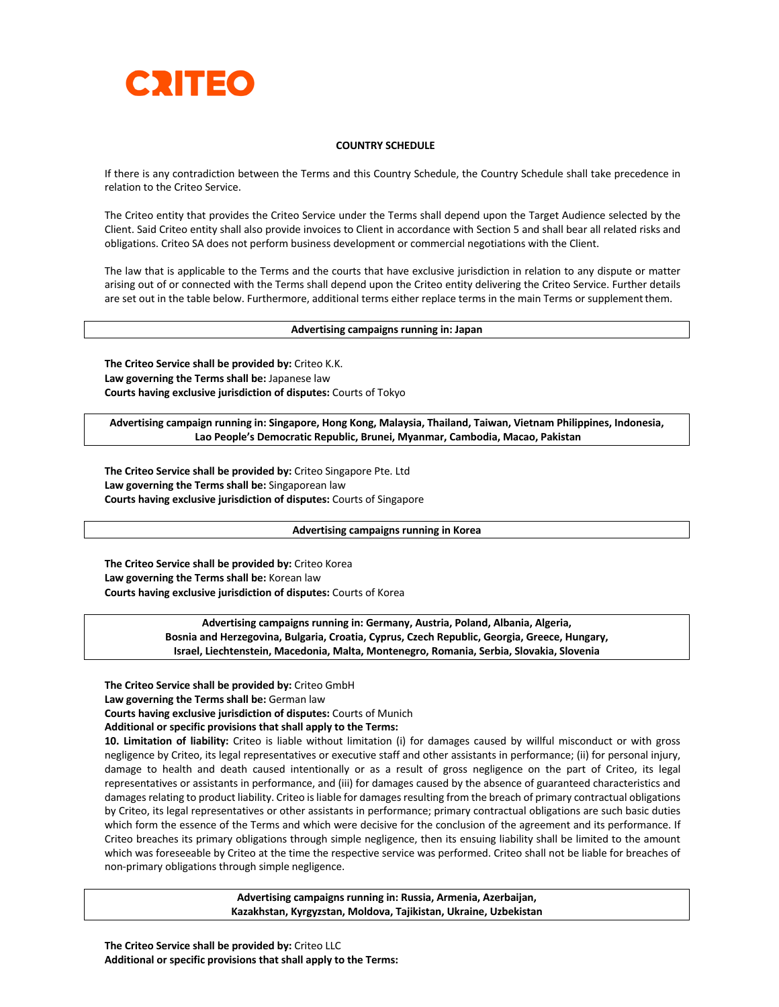

### **COUNTRY SCHEDULE**

If there is any contradiction between the Terms and this Country Schedule, the Country Schedule shall take precedence in relation to the Criteo Service.

The Criteo entity that provides the Criteo Service under the Terms shall depend upon the Target Audience selected by the Client. Said Criteo entity shall also provide invoices to Client in accordance with Section 5 and shall bear all related risks and obligations. Criteo SA does not perform business development or commercial negotiations with the Client.

The law that is applicable to the Terms and the courts that have exclusive jurisdiction in relation to any dispute or matter arising out of or connected with the Terms shall depend upon the Criteo entity delivering the Criteo Service. Further details are set out in the table below. Furthermore, additional terms either replace terms in the main Terms or supplementthem.

#### **Advertising campaigns running in: Japan**

**The Criteo Service shall be provided by:** Criteo K.K. **Law governing the Terms shall be:** Japanese law **Courts having exclusive jurisdiction of disputes:** Courts of Tokyo

**Advertising campaign running in: Singapore, Hong Kong, Malaysia, Thailand, Taiwan, Vietnam Philippines, Indonesia, Lao People's Democratic Republic, Brunei, Myanmar, Cambodia, Macao, Pakistan**

**The Criteo Service shall be provided by:** Criteo Singapore Pte. Ltd **Law governing the Terms shall be:** Singaporean law **Courts having exclusive jurisdiction of disputes:** Courts of Singapore

#### **Advertising campaigns running in Korea**

**The Criteo Service shall be provided by:** Criteo Korea **Law governing the Terms shall be:** Korean law **Courts having exclusive jurisdiction of disputes:** Courts of Korea

> **Advertising campaigns running in: Germany, Austria, Poland, Albania, Algeria, Bosnia and Herzegovina, Bulgaria, Croatia, Cyprus, Czech Republic, Georgia, Greece, Hungary, Israel, Liechtenstein, Macedonia, Malta, Montenegro, Romania, Serbia, Slovakia, Slovenia**

**The Criteo Service shall be provided by:** Criteo GmbH

**Law governing the Terms shall be:** German law

**Courts having exclusive jurisdiction of disputes:** Courts of Munich

**Additional or specific provisions that shall apply to the Terms:**

**10. Limitation of liability:** Criteo is liable without limitation (i) for damages caused by willful misconduct or with gross negligence by Criteo, its legal representatives or executive staff and other assistants in performance; (ii) for personal injury, damage to health and death caused intentionally or as a result of gross negligence on the part of Criteo, its legal representatives or assistants in performance, and (iii) for damages caused by the absence of guaranteed characteristics and damages relating to product liability. Criteo is liable for damages resulting from the breach of primary contractual obligations by Criteo, its legal representatives or other assistants in performance; primary contractual obligations are such basic duties which form the essence of the Terms and which were decisive for the conclusion of the agreement and its performance. If Criteo breaches its primary obligations through simple negligence, then its ensuing liability shall be limited to the amount which was foreseeable by Criteo at the time the respective service was performed. Criteo shall not be liable for breaches of non-primary obligations through simple negligence.

> **Advertising campaigns running in: Russia, Armenia, Azerbaijan, Kazakhstan, Kyrgyzstan, Moldova, Tajikistan, Ukraine, Uzbekistan**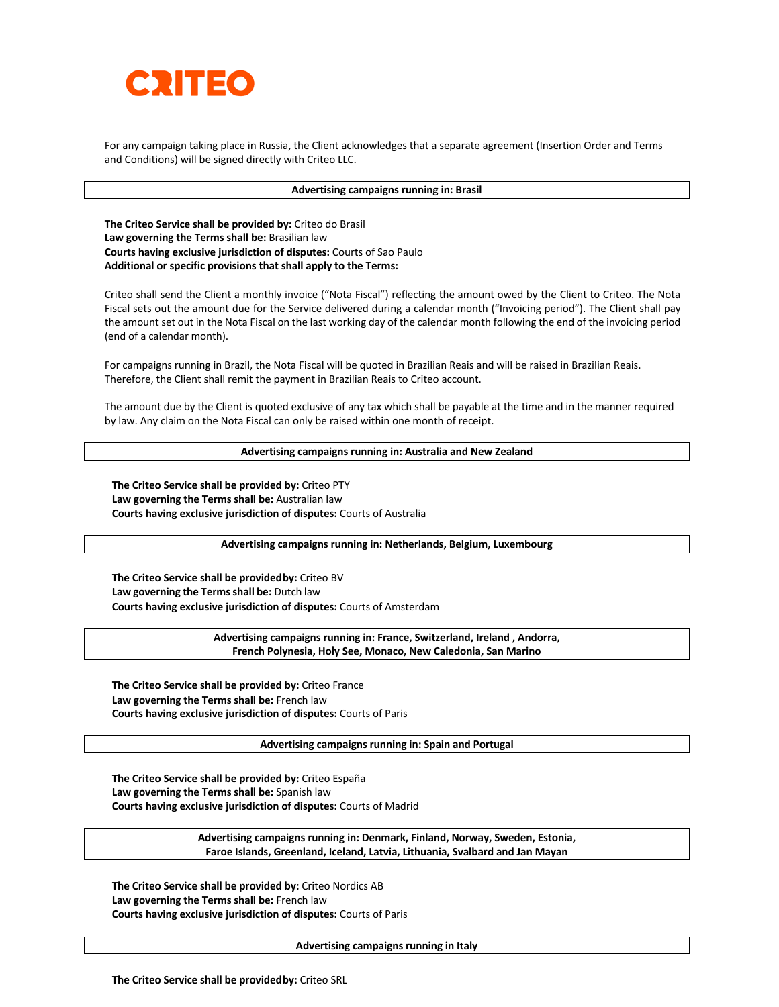

For any campaign taking place in Russia, the Client acknowledges that a separate agreement (Insertion Order and Terms and Conditions) will be signed directly with Criteo LLC.

#### **Advertising campaigns running in: Brasil**

**The Criteo Service shall be provided by:** Criteo do Brasil **Law governing the Terms shall be:** Brasilian law **Courts having exclusive jurisdiction of disputes:** Courts of Sao Paulo **Additional or specific provisions that shall apply to the Terms:**

Criteo shall send the Client a monthly invoice ("Nota Fiscal") reflecting the amount owed by the Client to Criteo. The Nota Fiscal sets out the amount due for the Service delivered during a calendar month ("Invoicing period"). The Client shall pay the amount set out in the Nota Fiscal on the last working day of the calendar month following the end of the invoicing period (end of a calendar month).

For campaigns running in Brazil, the Nota Fiscal will be quoted in Brazilian Reais and will be raised in Brazilian Reais. Therefore, the Client shall remit the payment in Brazilian Reais to Criteo account.

The amount due by the Client is quoted exclusive of any tax which shall be payable at the time and in the manner required by law. Any claim on the Nota Fiscal can only be raised within one month of receipt.

#### **Advertising campaigns running in: Australia and New Zealand**

**The Criteo Service shall be provided by:** Criteo PTY **Law governing the Terms shall be:** Australian law **Courts having exclusive jurisdiction of disputes:** Courts of Australia

**Advertising campaigns running in: Netherlands, Belgium, Luxembourg**

**The Criteo Service shall be providedby:** Criteo BV **Law governing the Termsshall be:** Dutch law **Courts having exclusive jurisdiction of disputes:** Courts of Amsterdam

> **Advertising campaigns running in: France, Switzerland, Ireland , Andorra, French Polynesia, Holy See, Monaco, New Caledonia, San Marino**

**The Criteo Service shall be provided by:** Criteo France **Law governing the Terms shall be:** French law **Courts having exclusive jurisdiction of disputes:** Courts of Paris

**Advertising campaigns running in: Spain and Portugal**

**The Criteo Service shall be provided by:** Criteo España **Law governing the Terms shall be:** Spanish law **Courts having exclusive jurisdiction of disputes:** Courts of Madrid

> **Advertising campaigns running in: Denmark, Finland, Norway, Sweden, Estonia, Faroe Islands, Greenland, Iceland, Latvia, Lithuania, Svalbard and Jan Mayan**

**The Criteo Service shall be provided by:** Criteo Nordics AB **Law governing the Terms shall be:** French law **Courts having exclusive jurisdiction of disputes:** Courts of Paris

**Advertising campaigns running in Italy**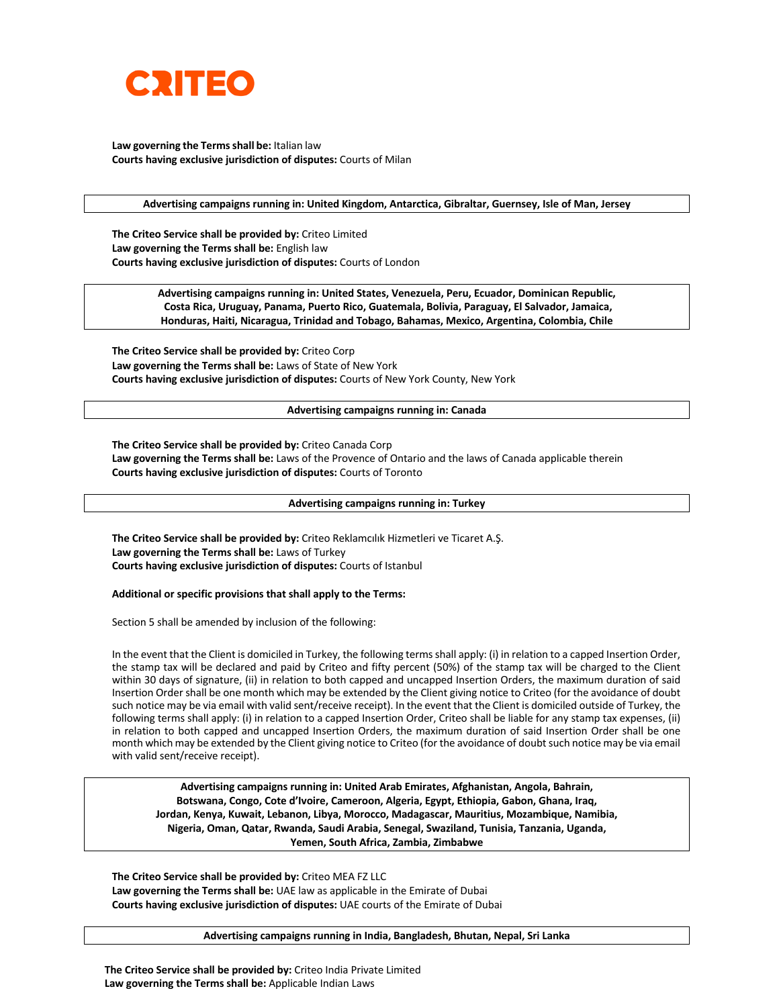

**Law governing the Termsshall be:** Italian law **Courts having exclusive jurisdiction of disputes:** Courts of Milan

**Advertising campaigns running in: United Kingdom, Antarctica, Gibraltar, Guernsey, Isle of Man, Jersey**

**The Criteo Service shall be provided by:** Criteo Limited **Law governing the Terms shall be:** English law **Courts having exclusive jurisdiction of disputes:** Courts of London

> **Advertising campaigns running in: United States, Venezuela, Peru, Ecuador, Dominican Republic, Costa Rica, Uruguay, Panama, Puerto Rico, Guatemala, Bolivia, Paraguay, El Salvador, Jamaica, Honduras, Haiti, Nicaragua, Trinidad and Tobago, Bahamas, Mexico, Argentina, Colombia, Chile**

**The Criteo Service shall be provided by:** Criteo Corp **Law governing the Terms shall be:** Laws of State of New York **Courts having exclusive jurisdiction of disputes:** Courts of New York County, New York

#### **Advertising campaigns running in: Canada**

**The Criteo Service shall be provided by:** Criteo Canada Corp **Law governing the Terms shall be:** Laws of the Provence of Ontario and the laws of Canada applicable therein **Courts having exclusive jurisdiction of disputes:** Courts of Toronto

#### **Advertising campaigns running in: Turkey**

**The Criteo Service shall be provided by:** Criteo Reklamcılık Hizmetleri ve Ticaret A.Ş. **Law governing the Terms shall be:** Laws of Turkey **Courts having exclusive jurisdiction of disputes:** Courts of Istanbul

#### **Additional or specific provisions that shall apply to the Terms:**

Section 5 shall be amended by inclusion of the following:

In the event that the Client is domiciled in Turkey, the following terms shall apply: (i) in relation to a capped Insertion Order, the stamp tax will be declared and paid by Criteo and fifty percent (50%) of the stamp tax will be charged to the Client within 30 days of signature, (ii) in relation to both capped and uncapped Insertion Orders, the maximum duration of said Insertion Order shall be one month which may be extended by the Client giving notice to Criteo (for the avoidance of doubt such notice may be via email with valid sent/receive receipt). In the event that the Client is domiciled outside of Turkey, the following terms shall apply: (i) in relation to a capped Insertion Order, Criteo shall be liable for any stamp tax expenses, (ii) in relation to both capped and uncapped Insertion Orders, the maximum duration of said Insertion Order shall be one month which may be extended by the Client giving notice to Criteo (for the avoidance of doubt such notice may be via email with valid sent/receive receipt).

**Advertising campaigns running in: United Arab Emirates, Afghanistan, Angola, Bahrain, Botswana, Congo, Cote d'Ivoire, Cameroon, Algeria, Egypt, Ethiopia, Gabon, Ghana, Iraq, Jordan, Kenya, Kuwait, Lebanon, Libya, Morocco, Madagascar, Mauritius, Mozambique, Namibia, Nigeria, Oman, Qatar, Rwanda, Saudi Arabia, Senegal, Swaziland, Tunisia, Tanzania, Uganda, Yemen, South Africa, Zambia, Zimbabwe**

**The Criteo Service shall be provided by:** Criteo MEA FZ LLC **Law governing the Terms shall be:** UAE law as applicable in the Emirate of Dubai **Courts having exclusive jurisdiction of disputes:** UAE courts of the Emirate of Dubai

#### **Advertising campaigns running in India, Bangladesh, Bhutan, Nepal, Sri Lanka**

**The Criteo Service shall be provided by:** Criteo India Private Limited **Law governing the Terms shall be:** Applicable Indian Laws